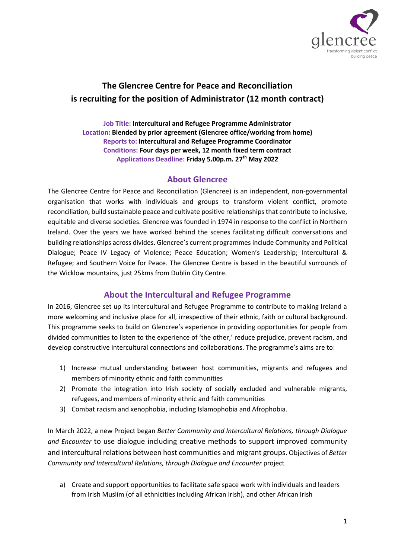

# **The Glencree Centre for Peace and Reconciliation is recruiting for the position of Administrator (12 month contract)**

**Job Title: Intercultural and Refugee Programme Administrator Location: Blended by prior agreement (Glencree office/working from home) Reports to: Intercultural and Refugee Programme Coordinator Conditions: Four days per week, 12 month fixed term contract Applications Deadline: Friday 5.00p.m. 27th May 2022**

### **About Glencree**

The Glencree Centre for Peace and Reconciliation (Glencree) is an independent, non-governmental organisation that works with individuals and groups to transform violent conflict, promote reconciliation, build sustainable peace and cultivate positive relationships that contribute to inclusive, equitable and diverse societies. Glencree was founded in 1974 in response to the conflict in Northern Ireland. Over the years we have worked behind the scenes facilitating difficult conversations and building relationships across divides. Glencree's current programmes include Community and Political Dialogue; Peace IV Legacy of Violence; Peace Education; Women's Leadership; Intercultural & Refugee; and Southern Voice for Peace. The Glencree Centre is based in the beautiful surrounds of the Wicklow mountains, just 25kms from Dublin City Centre.

## **About the Intercultural and Refugee Programme**

In 2016, Glencree set up its Intercultural and Refugee Programme to contribute to making Ireland a more welcoming and inclusive place for all, irrespective of their ethnic, faith or cultural background. This programme seeks to build on Glencree's experience in providing opportunities for people from divided communities to listen to the experience of 'the other,' reduce prejudice, prevent racism, and develop constructive intercultural connections and collaborations. The programme's aims are to:

- 1) Increase mutual understanding between host communities, migrants and refugees and members of minority ethnic and faith communities
- 2) Promote the integration into Irish society of socially excluded and vulnerable migrants, refugees, and members of minority ethnic and faith communities
- 3) Combat racism and xenophobia, including Islamophobia and Afrophobia.

In March 2022, a new Project began *Better Community and Intercultural Relations, through Dialogue and Encounter* to use dialogue including creative methods to support improved community and intercultural relations between host communities and migrant groups. Objectives of *Better Community and Intercultural Relations, through Dialogue and Encounter* project

a) Create and support opportunities to facilitate safe space work with individuals and leaders from Irish Muslim (of all ethnicities including African Irish), and other African Irish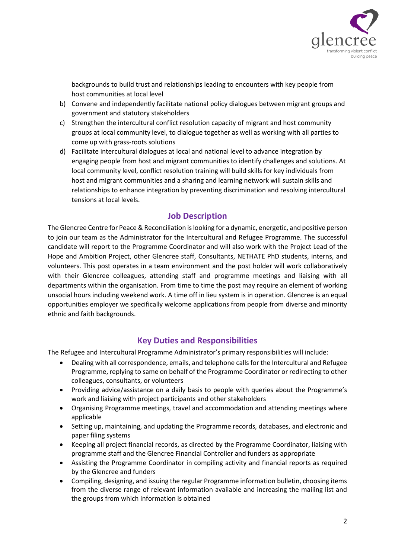

backgrounds to build trust and relationships leading to encounters with key people from host communities at local level

- b) Convene and independently facilitate national policy dialogues between migrant groups and government and statutory stakeholders
- c) Strengthen the intercultural conflict resolution capacity of migrant and host community groups at local community level, to dialogue together as well as working with all parties to come up with grass-roots solutions
- d) Facilitate intercultural dialogues at local and national level to advance integration by engaging people from host and migrant communities to identify challenges and solutions. At local community level, conflict resolution training will build skills for key individuals from host and migrant communities and a sharing and learning network will sustain skills and relationships to enhance integration by preventing discrimination and resolving intercultural tensions at local levels.

## **Job Description**

The Glencree Centre for Peace & Reconciliation is looking for a dynamic, energetic, and positive person to join our team as the Administrator for the Intercultural and Refugee Programme. The successful candidate will report to the Programme Coordinator and will also work with the Project Lead of the Hope and Ambition Project, other Glencree staff, Consultants, NETHATE PhD students, interns, and volunteers. This post operates in a team environment and the post holder will work collaboratively with their Glencree colleagues, attending staff and programme meetings and liaising with all departments within the organisation. From time to time the post may require an element of working unsocial hours including weekend work. A time off in lieu system is in operation. Glencree is an equal opportunities employer we specifically welcome applications from people from diverse and minority ethnic and faith backgrounds.

## **Key Duties and Responsibilities**

The Refugee and Intercultural Programme Administrator's primary responsibilities will include:

- Dealing with all correspondence, emails, and telephone calls for the Intercultural and Refugee Programme, replying to same on behalf of the Programme Coordinator or redirecting to other colleagues, consultants, or volunteers
- Providing advice/assistance on a daily basis to people with queries about the Programme's work and liaising with project participants and other stakeholders
- Organising Programme meetings, travel and accommodation and attending meetings where applicable
- Setting up, maintaining, and updating the Programme records, databases, and electronic and paper filing systems
- Keeping all project financial records, as directed by the Programme Coordinator, liaising with programme staff and the Glencree Financial Controller and funders as appropriate
- Assisting the Programme Coordinator in compiling activity and financial reports as required by the Glencree and funders
- Compiling, designing, and issuing the regular Programme information bulletin, choosing items from the diverse range of relevant information available and increasing the mailing list and the groups from which information is obtained